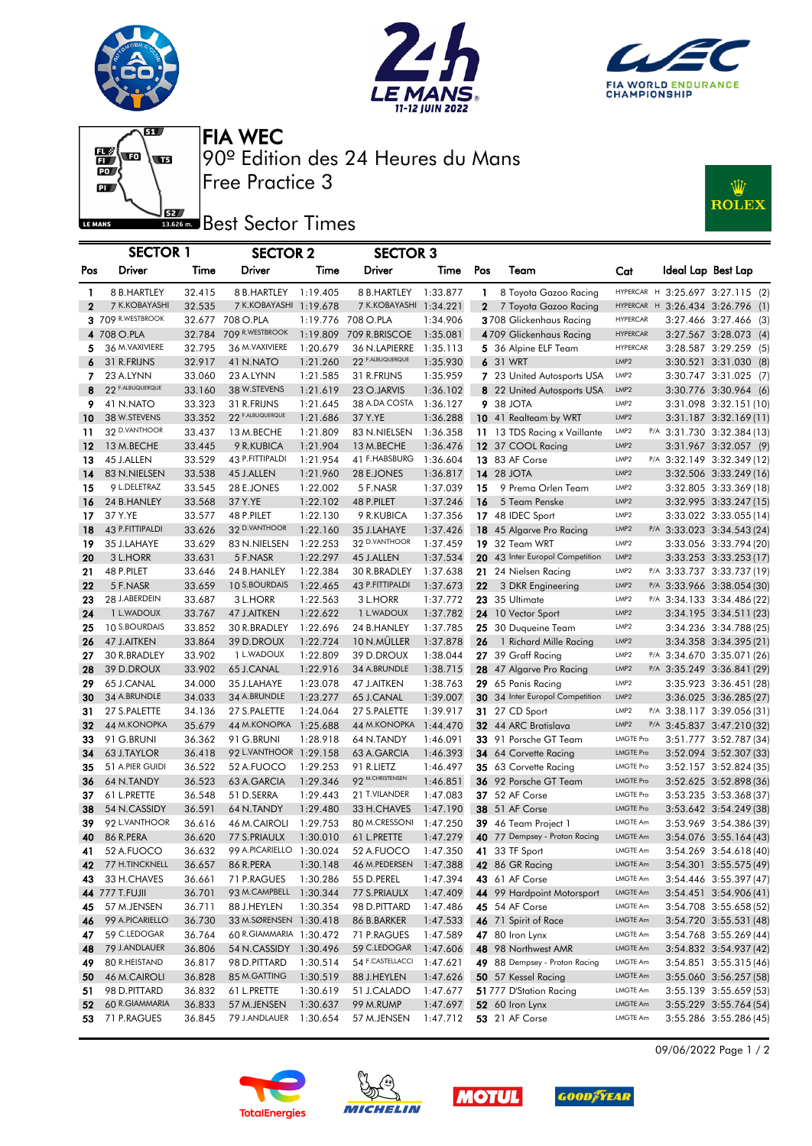





 $\overline{\mathbf{g}}$  $\begin{array}{c} \begin{array}{c} \text{R9} \\ \text{B1} \end{array} \end{array}$  $\overline{\mathbf{p}}$ LE MANS

Free Practice 3 90º Edition des 24 Heures du Mans FIA WEC

## Best Sector Times

| Wz<br><b>ROLEX</b> |
|--------------------|
|--------------------|

|                   | <b>SECTOR 1</b>              |                  | <b>SECTOR 2</b>                       |                      | <b>SECTOR 3</b>                       |                      |                              |                                                |                          |                                                               |
|-------------------|------------------------------|------------------|---------------------------------------|----------------------|---------------------------------------|----------------------|------------------------------|------------------------------------------------|--------------------------|---------------------------------------------------------------|
| Pos               | <b>Driver</b>                | Time             | Driver                                | Time                 | Driver                                | Time                 | Pos                          | Team                                           | Cat                      | Ideal Lap Best Lap                                            |
|                   |                              |                  |                                       |                      |                                       |                      |                              |                                                |                          |                                                               |
| 1<br>$\mathbf{2}$ | 8 B.HARTLEY<br>7 K.KOBAYASHI | 32.415<br>32.535 | 8 B.HARTLEY<br>7 K.KOBAYASHI 1:19.678 | 1:19.405             | 8 B.HARTLEY<br>7 K.KOBAYASHI 1:34.221 | 1:33.877             | $\mathbf{1}$<br>$\mathbf{2}$ | 8 Toyota Gazoo Racing<br>7 Toyota Gazoo Racing | <b>HYPERCAR</b>          | HYPERCAR H 3:25.697 3:27.115 (2)<br>$H$ 3:26.434 3:26.796 (1) |
|                   | 3 709 R.WESTBROOK            |                  | 32.677 708 O.PLA                      |                      | 1:19.776 708 O.PLA                    | 1:34.906             |                              | 3708 Glickenhaus Racing                        | <b>HYPERCAR</b>          | 3:27.466 3:27.466 (3)                                         |
|                   | 4 708 O.PLA                  | 32.784           | 709 R.WESTBROOK                       | 1:19.809             | 709 R.BRISCOE                         | 1:35.081             |                              | 4709 Glickenhaus Racing                        | <b>HYPERCAR</b>          | 3:27.567 3:28.073 (4)                                         |
| 5                 | 36 M. VAXIVIERE              | 32.795           | 36 M. VAXIVIERE                       | 1:20.679             | 36 N.LAPIERRE                         | 1:35.113             |                              | 5 36 Alpine ELF Team                           | <b>HYPERCAR</b>          | 3:28.587 3:29.259 (5)                                         |
| 6                 | 31 R.FRIJNS                  | 32.917           | 41 N.NATO                             | 1:21.260             | 22 F.ALBUQUERQUE                      | 1:35.930             |                              | 6 31 WRT                                       | LMP <sub>2</sub>         | 3:30.521 3:31.030 (8)                                         |
| 7                 | 23 A.LYNN                    | 33.060           | 23 A.LYNN                             | 1:21.585             | 31 R.FRIJNS                           | 1:35.959             |                              | 7 23 United Autosports USA                     | LMP2                     | 3:30.747 3:31.025 (7)                                         |
| 8                 | 22 F.ALBUQUERQUE             | 33.160           | 38 W.STEVENS                          | 1:21.619             | 23 O.JARVIS                           | 1:36.102             |                              | 8 22 United Autosports USA                     | LMP <sub>2</sub>         | 3:30.776 3:30.964 (6)                                         |
| 9                 | 41 N.NATO                    | 33.323           | 31 R.FRIJNS                           | 1:21.645             | 38 A.DA COSTA                         | 1:36.127             |                              | 9 38 JOTA                                      | LMP <sub>2</sub>         | 3:31.098 3:32.151 (10)                                        |
| 10                | 38 W.STEVENS                 | 33.352           | 22 F.ALBUQUERQUE                      | 1:21.686             | 37 Y.YE                               | 1:36.288             |                              | 10 41 Realteam by WRT                          | LMP <sub>2</sub>         | 3:31.187 3:32.169(11)                                         |
| 11                | 32 D.VANTHOOR                | 33.437           | 13 M.BECHE                            | 1:21.809             | 83 N.NIELSEN                          | 1:36.358             |                              | 11 13 TDS Racing x Vaillante                   | LMP2                     | P/A 3:31.730 3:32.384 (13)                                    |
| 12                | 13 M.BECHE                   | 33.445           | 9 R.KUBICA                            | 1:21.904             | 13 M.BECHE                            | 1:36.476             |                              | 12 37 COOL Racing                              | LMP <sub>2</sub>         | 3:31.967 3:32.057 (9)                                         |
| 13                | 45 J.ALLEN                   | 33.529           | 43 P.FITTIPALDI                       | 1:21.954             | 41 F.HABSBURG                         | 1:36.604             |                              | 13 83 AF Corse                                 | LMP <sub>2</sub>         | P/A 3:32.149 3:32.349 (12)                                    |
| 14                | 83 N.NIELSEN                 | 33.538           | 45 J.ALLEN                            | 1:21.960             | 28 E.JONES                            | 1:36.817             |                              | <b>14 28 JOTA</b>                              | LMP <sub>2</sub>         | 3:32.506 3:33.249 (16)                                        |
| 15                | 9 L.DELETRAZ                 | 33.545           | 28 E.JONES                            | 1:22.002             | 5 F.NASR                              | 1:37.039             | 15                           | 9 Prema Orlen Team                             | LMP <sub>2</sub>         | 3:32.805 3:33.369 (18)                                        |
| 16                | 24 B.HANLEY                  | 33.568           | 37 Y.YE                               | 1:22.102             | 48 P.PILET                            | 1:37.246             | 16                           | 5 Team Penske                                  | LMP <sub>2</sub>         | 3:32.995 3:33.247 (15)                                        |
| 17                | 37 Y.YE                      | 33.577           | 48 P.PILET                            | 1:22.130             | 9 R.KUBICA                            | 1:37.356             |                              | 17 48 IDEC Sport                               | LMP <sub>2</sub>         | 3:33.022 3:33.055 (14)                                        |
| 18                | 43 P.FITTIPALDI              | 33.626           | 32 D.VANTHOOR                         | 1:22.160             | 35 J.LAHAYE                           | 1:37.426             |                              | 18 45 Algarve Pro Racing                       | LMP <sub>2</sub>         | P/A 3:33.023 3:34.543 (24)                                    |
| 19                | 35 J.LAHAYE                  | 33.629           | 83 N.NIELSEN                          | 1:22.253             | 32 D.VANTHOOR                         | 1:37.459             | 19                           | 32 Team WRT                                    | LMP <sub>2</sub>         | 3:33.056 3:33.794 (20)                                        |
| 20                | 3 L.HORR                     | 33.631           | 5 F.NASR                              | 1:22.297             | 45 J.ALLEN                            | 1:37.534             |                              | 20 43 Inter Europol Competition                | LMP <sub>2</sub>         | 3:33.253 3:33.253 (17)                                        |
| 21                | 48 P.PILET                   | 33.646           | 24 B.HANLEY                           | 1:22.384             | 30 R.BRADLEY                          | 1:37.638             |                              | 21 24 Nielsen Racing                           | LMP2                     | P/A 3:33.737 3:33.737 (19)                                    |
| 22                | 5 F.NASR                     | 33.659           | 10 S.BOURDAIS                         | 1:22.465             | 43 P.FITTIPALDI                       | 1:37.673             | 22                           | 3 DKR Engineering                              | LMP <sub>2</sub>         | P/A 3:33.966 3:38.054 (30)                                    |
| 23                | 28 J.ABERDEIN                | 33.687           | 3 L.HORR                              | 1:22.563             | 3 L.HORR                              | 1:37.772             |                              | 23 35 Ultimate                                 | LMP <sub>2</sub>         | P/A 3:34.133 3:34.486 (22)                                    |
| 24                | 1 L.WADOUX                   | 33.767           | 47 J.AITKEN                           | 1:22.622             | 1 L.WADOUX                            | 1:37.782             |                              | 24 10 Vector Sport                             | LMP <sub>2</sub>         | 3:34.195 3:34.511 (23)                                        |
| 25                | 10 S.BOURDAIS                | 33.852           | 30 R.BRADLEY                          | 1:22.696             | 24 B.HANLEY                           | 1:37.785             |                              | 25 30 Duqueine Team                            | LMP <sub>2</sub>         | 3:34.236 3:34.788 (25)                                        |
| 26                | 47 J.AITKEN                  | 33.864           | 39 D.DROUX                            | 1:22.724             | 10 N.MÜLLER                           | 1:37.878             | 26                           | 1 Richard Mille Racing                         | LMP <sub>2</sub>         | 3:34.358 3:34.395 (21)                                        |
| 27                | 30 R.BRADLEY                 | 33.902           | 1 L.WADOUX                            | 1:22.809             | 39 D.DROUX                            | 1:38.044             |                              | 27 39 Graff Racing                             | LMP2                     | P/A 3:34.670 3:35.071 (26)                                    |
| 28                | 39 D.DROUX                   | 33.902           | 65 J.CANAL                            | 1:22.916             | 34 A.BRUNDLE                          | 1:38.715             |                              | 28 47 Algarve Pro Racing                       | LMP <sub>2</sub>         | P/A 3:35.249 3:36.841 (29)                                    |
| 29                | 65 J.CANAL                   | 34.000           | 35 J.LAHAYE                           | 1:23.078             | 47 J.AITKEN                           | 1:38.763             |                              | 29 65 Panis Racing                             | LMP <sub>2</sub>         | 3:35.923 3:36.451 (28)                                        |
| 30                | 34 A.BRUNDLE                 | 34.033           | 34 A.BRUNDLE                          | 1:23.277             | 65 J.CANAL                            | 1:39.007             |                              | 30 34 Inter Europol Competition                | LMP <sub>2</sub><br>LMP2 | 3:36.025 3:36.285 (27)                                        |
| 31                | 27 S.PALETTE<br>44 M.KONOPKA | 34.136           | 27 S.PALETTE<br>44 M.KONOPKA          | 1:24.064             | 27 S.PALETTE<br>44 M.KONOPKA          | 1:39.917             |                              | <b>31</b> 27 CD Sport                          | LMP <sub>2</sub>         | P/A 3:38.117 3:39.056 (31)                                    |
| 32<br>33          | 91 G.BRUNI                   | 35.679<br>36.362 | 91 G.BRUNI                            | 1:25.688<br>1:28.918 | 64 N.TANDY                            | 1:44.470<br>1:46.091 |                              | 32 44 ARC Bratislava<br>33 91 Porsche GT Team  | <b>LMGTE Pro</b>         | P/A 3:45.837 3:47.210 (32)<br>3:51.777 3:52.787 (34)          |
| 34                | 63 J.TAYLOR                  | 36.418           | 92 L.VANTHOOR 1:29.158                |                      | 63 A.GARCIA                           | 1:46.393             |                              | 34 64 Corvette Racing                          | <b>LMGTE Pro</b>         | 3:52.094 3:52.307 (33)                                        |
| 35                | 51 A.PIER GUIDI              | 36.522           | 52 A.FUOCO                            | 1:29.253             | 91 R.LIETZ                            | 1:46.497             |                              | 35 63 Corvette Racing                          | <b>LMGTE Pro</b>         | 3:52.157 3:52.824 (35)                                        |
| 36                | 64 N.TANDY                   | 36.523           | 63 A.GARCIA                           | 1:29.346             | 92 M.CHRISTENSEN                      | 1:46.851             |                              | 36 92 Porsche GT Team                          | <b>LMGTE Pro</b>         | 3:52.625 3:52.898 (36)                                        |
| 37                | 61 L.PRETTE                  | 36.548           | 51 D.SERRA                            | 1:29.443             | 21 T.VILANDER                         | 1:47.083             |                              | 37 52 AF Corse                                 | <b>LMGTE Pro</b>         | 3:53.235 3:53.368 (37)                                        |
| 38                | 54 N.CASSIDY                 | 36.591           | 64 N.TANDY                            | 1:29.480             | 33 H.CHAVES                           | 1:47.190             |                              | <b>38</b> 51 AF Corse                          | <b>LMGTE Pro</b>         | 3:53.642 3:54.249 (38)                                        |
| 39                | 92 L.VANTHOOR                | 36.616           | 46 M.CAIROLI                          | 1:29.753             | 80 M.CRESSONI                         | 1:47.250             | 39                           | 46 Team Project 1                              | LMGTE Am                 | 3:53.969 3:54.386 (39)                                        |
| 40                | 86 R.PERA                    | 36.620           | 77 S.PRIAULX                          | 1:30.010             | 61 L.PRETTE                           | 1:47.279             |                              | 40 77 Dempsey - Proton Racing                  | <b>LMGTE Am</b>          | 3:54.076 3:55.164 (43)                                        |
| 41                | 52 A.FUOCO                   | 36.632           | 99 A.PICARIELLO 1:30.024              |                      | 52 A.FUOCO                            | 1:47.350             |                              | <b>41</b> 33 TF Sport                          | LMGTE Am                 | 3:54.269 3:54.618 (40)                                        |
| 42                | 77 H.TINCKNELL               | 36.657           | 86 R.PERA                             | 1:30.148             | 46 M.PEDERSEN                         | 1:47.388             |                              | 42 86 GR Racing                                | LMGTE Am                 | 3:54.301 3:55.575 (49)                                        |
| 43                | 33 H.CHAVES                  | 36.661           | 71 P.RAGUES                           | 1:30.286             | 55 D.PEREL                            | 1:47.394             |                              | 43 61 AF Corse                                 | LMGTE Am                 | 3:54.446 3:55.397 (47)                                        |
|                   | 44 777 T.FUJII               | 36.701           | 93 M.CAMPBELL                         | 1:30.344             | 77 S.PRIAULX                          | 1:47.409             |                              | 44 99 Hardpoint Motorsport                     | LMGTE Am                 | $3:54.451$ $3:54.906(41)$                                     |
| 45                | 57 M.JENSEN                  | 36.711           | 88 J.HEYLEN                           | 1:30.354             | 98 D.PITTARD                          | 1:47.486             |                              | <b>45</b> 54 AF Corse                          | LMGTE Am                 | 3:54.708 3:55.658 (52)                                        |
| 46                | 99 A.PICARIELLO              | 36.730           | 33 M.SØRENSEN 1:30.418                |                      | 86 B.BARKER                           | 1:47.533             |                              | 46 71 Spirit of Race                           | LMGTE Am                 | 3:54.720 3:55.531 (48)                                        |
| 47                | 59 C.LEDOGAR                 | 36.764           | 60 R.GIAMMARIA 1:30.472               |                      | 71 P.RAGUES                           | 1:47.589             |                              | 47 80 Iron Lynx                                | LMGTE Am                 | 3:54.768 3:55.269 (44)                                        |
| 48                | 79 J.ANDLAUER                | 36.806           | 54 N.CASSIDY                          | 1:30.496             | 59 C.LEDOGAR                          | 1:47.606             |                              | 48 98 Northwest AMR                            | LMGTE Am                 | 3:54.832 3:54.937 (42)                                        |
| 49                | 80 R.HEISTAND                | 36.817           | 98 D.PITTARD                          | 1:30.514             | 54 F.CASTELLACCI                      | 1:47.621             |                              | 49 88 Dempsey - Proton Racing                  | LMGTE Am                 | 3:54.851 3:55.315 (46)                                        |
| 50                | 46 M.CAIROLI                 | 36.828           | 85 M.GATTING                          | 1:30.519             | 88 J.HEYLEN                           | 1:47.626             |                              | <b>50</b> 57 Kessel Racing                     | LMGTE Am                 | 3:55.060 3:56.257 (58)                                        |
| 51                | 98 D.PITTARD                 | 36.832           | 61 L.PRETTE                           | 1:30.619             | 51 J.CALADO                           | 1:47.677             |                              | 51777 D'Station Racing                         | LMGTE Am                 | 3:55.139 3:55.659 (53)                                        |
| 52                | 60 R.GIAMMARIA               | 36.833           | 57 M.JENSEN                           | 1:30.637             | 99 M.RUMP                             | 1:47.697             |                              | 52 60 Iron Lynx                                | LMGTE Am                 | 3:55.229 3:55.764 (54)                                        |
| 53                | 71 P.RAGUES                  | 36.845           | 79 J.ANDLAUER                         | 1:30.654             | 57 M.JENSEN                           | 1:47.712             |                              | <b>53</b> 21 AF Corse                          | <b>LMGTE Am</b>          | 3:55.286 3:55.286 (45)                                        |









09/06/2022 Page 1 / 2